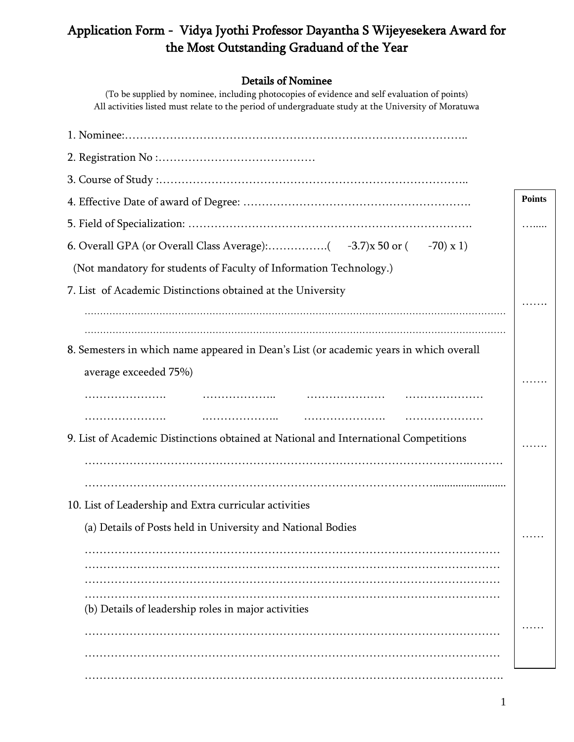## Application Form - Vidya Jyothi Professor Dayantha S Wijeyesekera Award for the Most Outstanding Graduand of the Year

## Details of Nominee

(To be supplied by nominee, including photocopies of evidence and self evaluation of points) All activities listed must relate to the period of undergraduate study at the University of Moratuwa

|                                                                                        | <b>Points</b> |
|----------------------------------------------------------------------------------------|---------------|
|                                                                                        |               |
|                                                                                        |               |
| (Not mandatory for students of Faculty of Information Technology.)                     |               |
| 7. List of Academic Distinctions obtained at the University                            |               |
|                                                                                        |               |
|                                                                                        |               |
| 8. Semesters in which name appeared in Dean's List (or academic years in which overall |               |
| average exceeded 75%)                                                                  |               |
| .<br>.                                                                                 |               |
|                                                                                        |               |
| 9. List of Academic Distinctions obtained at National and International Competitions   |               |
|                                                                                        |               |
|                                                                                        |               |
| 10. List of Leadership and Extra curricular activities                                 |               |
| (a) Details of Posts held in University and National Bodies                            |               |
|                                                                                        |               |
|                                                                                        |               |
|                                                                                        |               |
| (b) Details of leadership roles in major activities                                    |               |
|                                                                                        |               |
|                                                                                        |               |
|                                                                                        |               |
|                                                                                        |               |